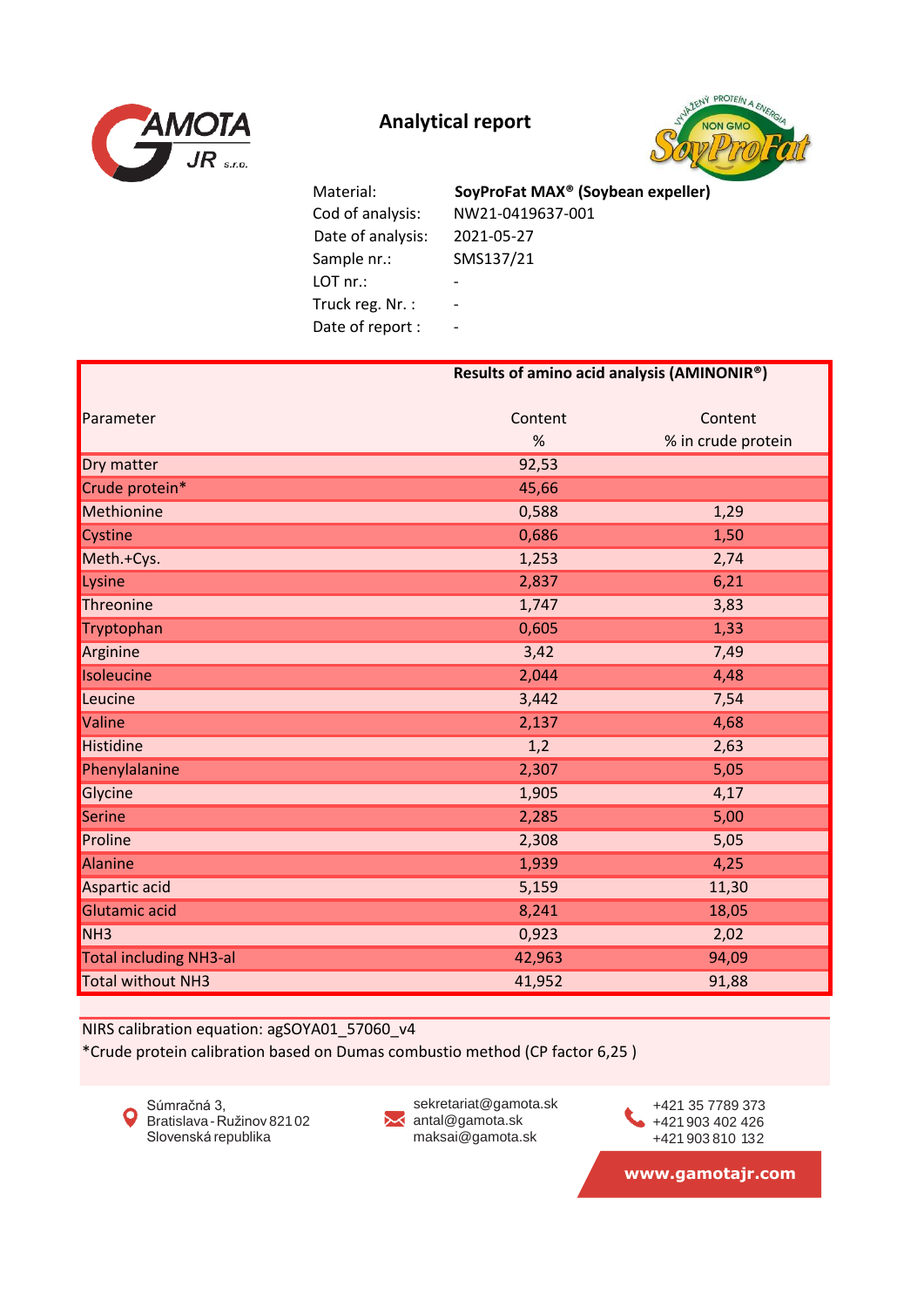



 Date of analysis: 2021-05-27 Sample nr.: SMS137/21 LOT nr.: - Truck reg. Nr. : -Date of report : -

 Cod of analysis: NW21-0419637-001 Material: **SoyProFat MAX® (Soybean expeller)**

|                               | Results of amino acid analysis (AMINONIR®) |                    |  |
|-------------------------------|--------------------------------------------|--------------------|--|
| Parameter                     | Content                                    | Content            |  |
|                               | %                                          | % in crude protein |  |
| Dry matter                    | 92,53                                      |                    |  |
| Crude protein*                | 45,66                                      |                    |  |
| Methionine                    | 0,588                                      | 1,29               |  |
| Cystine                       | 0,686                                      | 1,50               |  |
| Meth.+Cys.                    | 1,253                                      | 2,74               |  |
| Lysine                        | 2,837                                      | 6,21               |  |
| Threonine                     | 1,747                                      | 3,83               |  |
| Tryptophan                    | 0,605                                      | 1,33               |  |
| Arginine                      | 3,42                                       | 7,49               |  |
| Isoleucine                    | 2,044                                      | 4,48               |  |
| Leucine                       | 3,442                                      | 7,54               |  |
| Valine                        | 2,137                                      | 4,68               |  |
| Histidine                     | 1,2                                        | 2,63               |  |
| Phenylalanine                 | 2,307                                      | 5,05               |  |
| Glycine                       | 1,905                                      | 4,17               |  |
| Serine                        | 2,285                                      | 5,00               |  |
| Proline                       | 2,308                                      | 5,05               |  |
| Alanine                       | 1,939                                      | 4,25               |  |
| Aspartic acid                 | 5,159                                      | 11,30              |  |
| Glutamic acid                 | 8,241                                      | 18,05              |  |
| NH <sub>3</sub>               | 0,923                                      | 2,02               |  |
| <b>Total including NH3-al</b> | 42,963                                     | 94,09              |  |
| <b>Total without NH3</b>      | 41,952                                     | 91,88              |  |

NIRS calibration equation: agSOYA01\_57060\_v4

\*Crude protein calibration based on Dumas combustio method (CP factor 6,25 )



sekretariat@gamota.sk ✕ antal@gamota.sk maksai@gamota.sk

+421 903 402 426 +421 903 810 132 +421 35 7789 373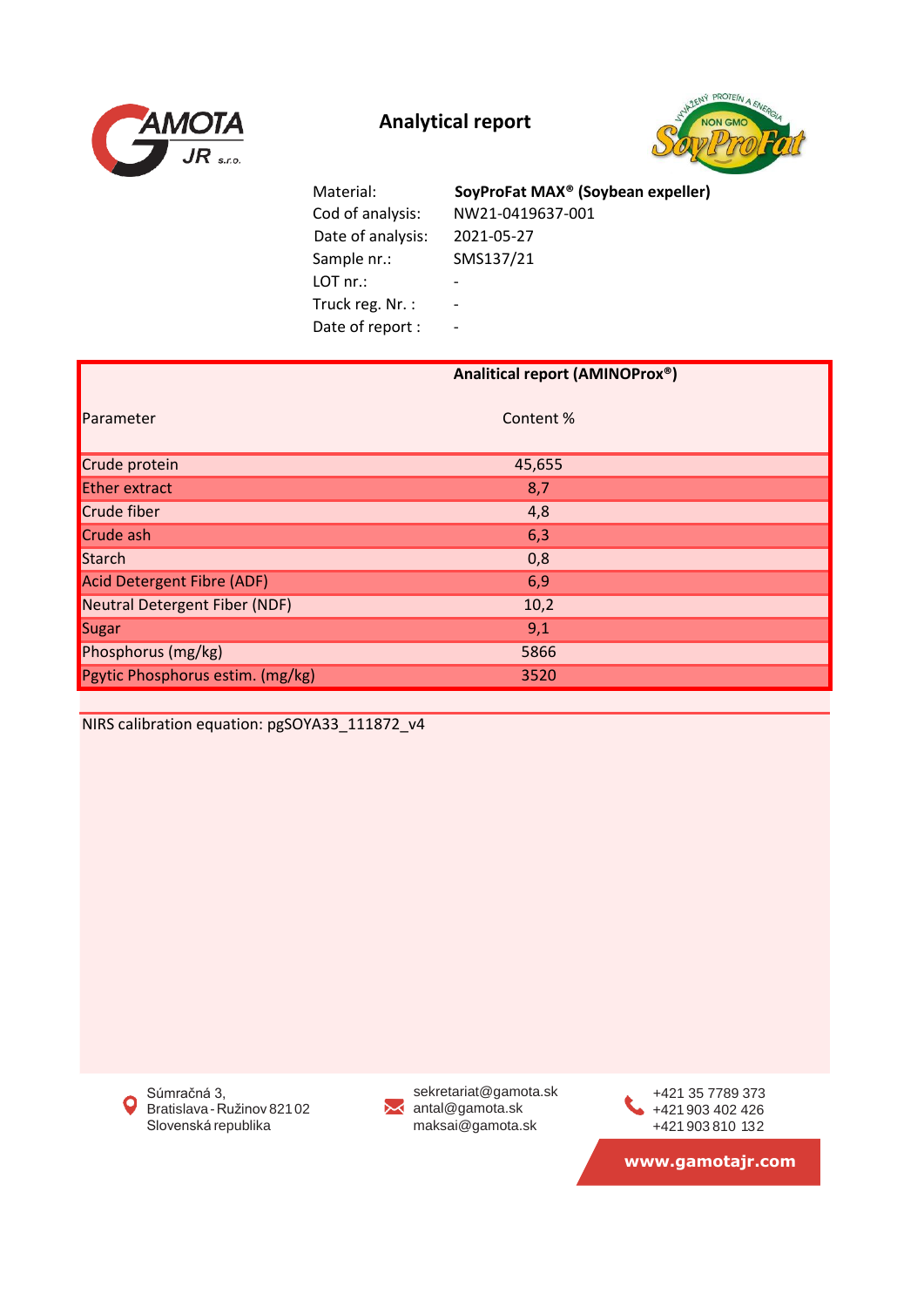



 Cod of analysis: NW21-0419637-001 Date of analysis: 2021-05-27 Sample nr.: SMS137/21 LOT nr.: - Truck reg. Nr. : -Date of report : -Material: **SoyProFat MAX® (Soybean expeller)**

|                                   | Analitical report (AMINOProx®) |  |
|-----------------------------------|--------------------------------|--|
| Parameter                         | Content %                      |  |
| Crude protein                     | 45,655                         |  |
| <b>Ether extract</b>              | 8,7                            |  |
| Crude fiber                       | 4,8                            |  |
| Crude ash                         | 6,3                            |  |
| Starch                            | 0,8                            |  |
| <b>Acid Detergent Fibre (ADF)</b> | 6,9                            |  |
| Neutral Detergent Fiber (NDF)     | 10,2                           |  |
| Sugar                             | 9,1                            |  |
| Phosphorus (mg/kg)                | 5866                           |  |
| Pgytic Phosphorus estim. (mg/kg)  | 3520                           |  |

NIRS calibration equation: pgSOYA33\_111872\_v4

Súmračná 3,  $\mathbf{o}$ Bratislava-Ružinov 82102 Slovenská republika

sekretariat@gamota.sk **X** antal@gamota.sk maksai@gamota.sk

+421 903 402 426 +421 903 810 132 +421 35 7789 373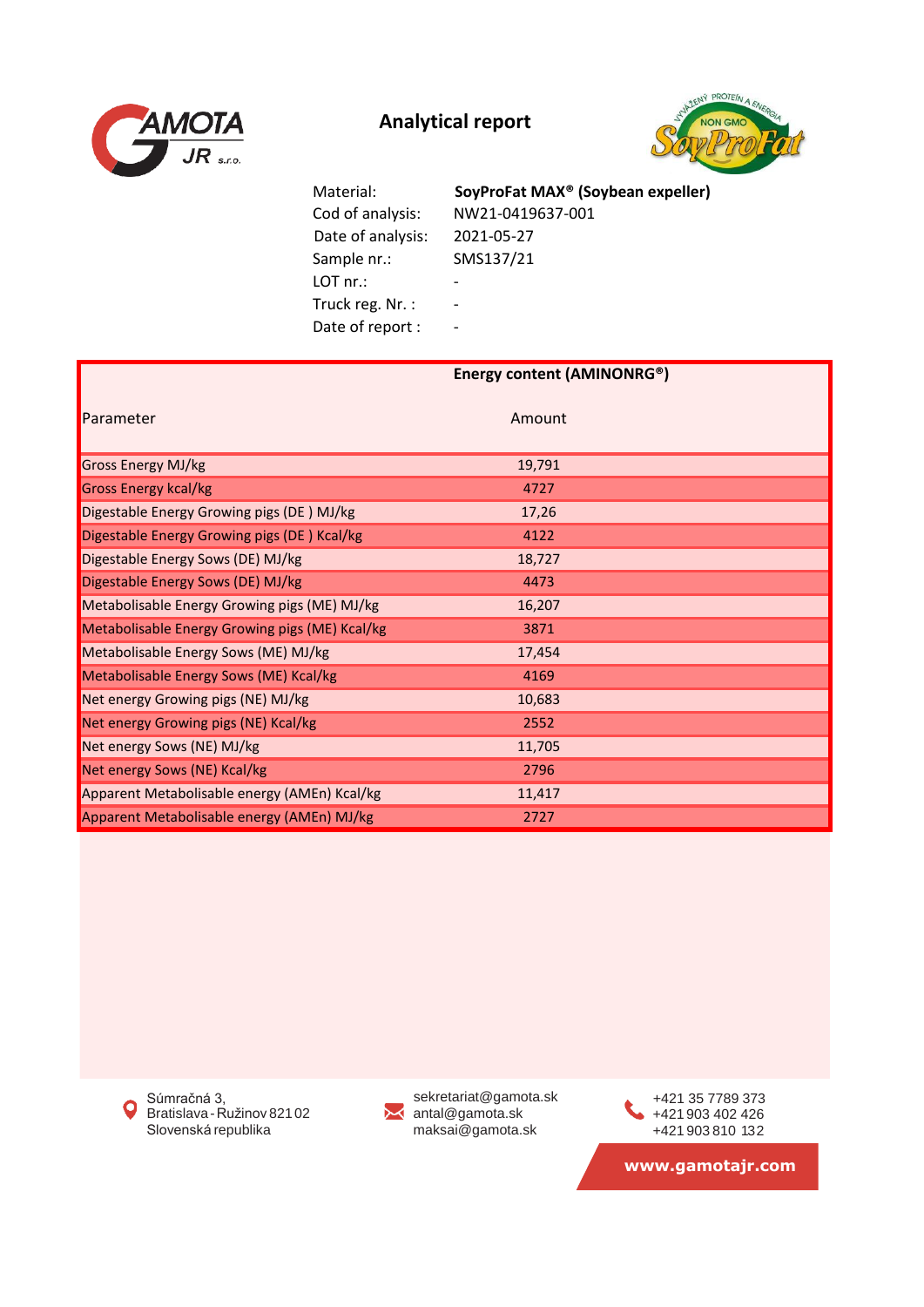



 Cod of analysis: NW21-0419637-001 Date of analysis: 2021-05-27 Sample nr.: SMS137/21 LOT nr.: - Truck reg. Nr. : -Date of report : -

Material: **SoyProFat MAX® (Soybean expeller)**

|                                                | Energy content (AMINONRG®) |  |  |
|------------------------------------------------|----------------------------|--|--|
| Parameter                                      | Amount                     |  |  |
| Gross Energy MJ/kg                             | 19,791                     |  |  |
| <b>Gross Energy kcal/kg</b>                    | 4727                       |  |  |
| Digestable Energy Growing pigs (DE) MJ/kg      | 17,26                      |  |  |
| Digestable Energy Growing pigs (DE) Kcal/kg    | 4122                       |  |  |
| Digestable Energy Sows (DE) MJ/kg              | 18,727                     |  |  |
| Digestable Energy Sows (DE) MJ/kg              | 4473                       |  |  |
| Metabolisable Energy Growing pigs (ME) MJ/kg   | 16,207                     |  |  |
| Metabolisable Energy Growing pigs (ME) Kcal/kg | 3871                       |  |  |
| Metabolisable Energy Sows (ME) MJ/kg           | 17,454                     |  |  |
| Metabolisable Energy Sows (ME) Kcal/kg         | 4169                       |  |  |
| Net energy Growing pigs (NE) MJ/kg             | 10,683                     |  |  |
| Net energy Growing pigs (NE) Kcal/kg           | 2552                       |  |  |
| Net energy Sows (NE) MJ/kg                     | 11,705                     |  |  |
| Net energy Sows (NE) Kcal/kg                   | 2796                       |  |  |
| Apparent Metabolisable energy (AMEn) Kcal/kg   | 11,417                     |  |  |
| Apparent Metabolisable energy (AMEn) MJ/kg     | 2727                       |  |  |

Súmračná 3,  $\mathbf Q$ Bratislava-Ružinov 82102 Slovenská republika



sekretariat@gamota.sk antal@gamota.sk maksai@gamota.sk

+421 903 402 426 +421 903 810 132 +421 35 7789 373